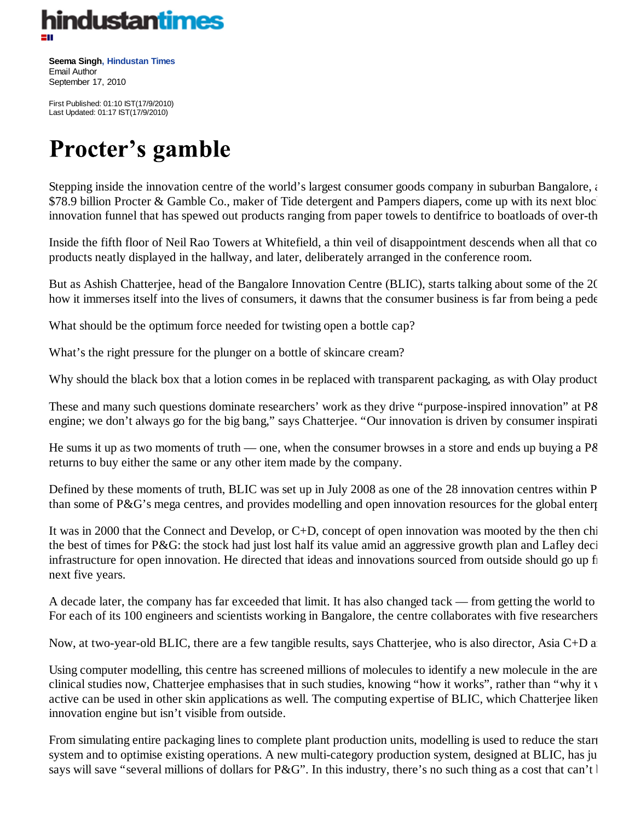

**Seema Singh, Hindustan Times** Email Author September 17, 2010

First Published: 01:10 IST(17/9/2010) Last Updated: 01:17 IST(17/9/2010)

## **Procter's gamble**

Stepping inside the innovation centre of the world's largest consumer goods company in suburban Bangalore, and \$78.9 billion Procter & Gamble Co., maker of Tide detergent and Pampers diapers, come up with its next bloc. innovation funnel that has spewed out products ranging from paper towels to dentifrice to boatloads of over-th

Inside the fifth floor of Neil Rao Towers at Whitefield, a thin veil of disappointment descends when all that com products neatly displayed in the hallway, and later, deliberately arranged in the conference room.

But as Ashish Chatterjee, head of the Bangalore Innovation Centre (BLIC), starts talking about some of the 20 how it immerses itself into the lives of consumers, it dawns that the consumer business is far from being a pede

What should be the optimum force needed for twisting open a bottle cap?

What's the right pressure for the plunger on a bottle of skincare cream?

Why should the black box that a lotion comes in be replaced with transparent packaging, as with Olay product

These and many such questions dominate researchers' work as they drive "purpose-inspired innovation" at P& engine; we don't always go for the big bang," says Chatterjee. "Our innovation is driven by consumer inspirati

He sums it up as two moments of truth — one, when the consumer browses in a store and ends up buying a  $P\&$ returns to buy either the same or any other item made by the company.

Defined by these moments of truth, BLIC was set up in July 2008 as one of the 28 innovation centres within P than some of P&G's mega centres, and provides modelling and open innovation resources for the global enterp

It was in 2000 that the Connect and Develop, or C+D, concept of open innovation was mooted by the then chi the best of times for P&G: the stock had just lost half its value amid an aggressive growth plan and Lafley deci infrastructure for open innovation. He directed that ideas and innovations sourced from outside should go up fr next five years.

A decade later, the company has far exceeded that limit. It has also changed tack — from getting the world to For each of its 100 engineers and scientists working in Bangalore, the centre collaborates with five researchers

Now, at two-year-old BLIC, there are a few tangible results, says Chatterjee, who is also director, Asia C+D and

Using computer modelling, this centre has screened millions of molecules to identify a new molecule in the are clinical studies now, Chatterjee emphasises that in such studies, knowing "how it works", rather than "why it w active can be used in other skin applications as well. The computing expertise of BLIC, which Chatterjee liken innovation engine but isn't visible from outside.

From simulating entire packaging lines to complete plant production units, modelling is used to reduce the start system and to optimise existing operations. A new multi-category production system, designed at BLIC, has ju says will save "several millions of dollars for P&G". In this industry, there's no such thing as a cost that can't l